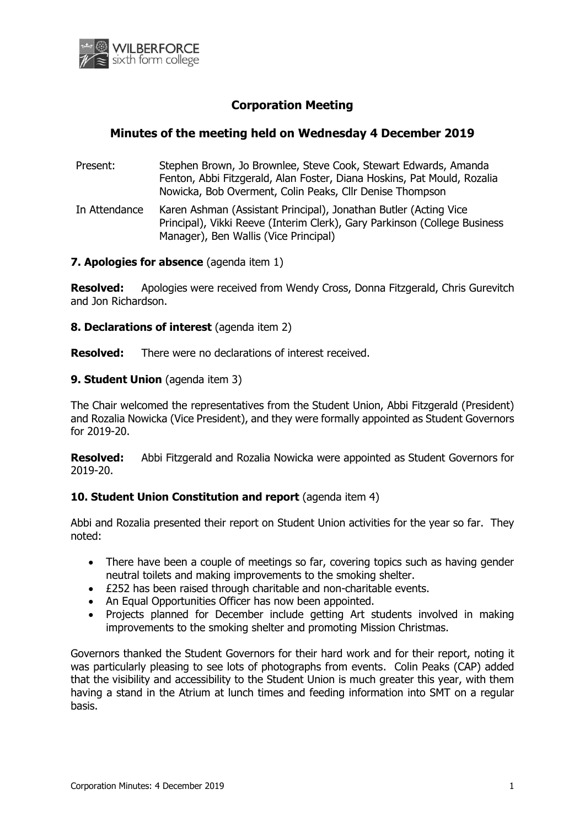

# **Corporation Meeting**

## **Minutes of the meeting held on Wednesday 4 December 2019**

- Present: Stephen Brown, Jo Brownlee, Steve Cook, Stewart Edwards, Amanda Fenton, Abbi Fitzgerald, Alan Foster, Diana Hoskins, Pat Mould, Rozalia Nowicka, Bob Overment, Colin Peaks, Cllr Denise Thompson
- In Attendance Karen Ashman (Assistant Principal), Jonathan Butler (Acting Vice Principal), Vikki Reeve (Interim Clerk), Gary Parkinson (College Business Manager), Ben Wallis (Vice Principal)

### **7. Apologies for absence** (agenda item 1)

**Resolved:** Apologies were received from Wendy Cross, Donna Fitzgerald, Chris Gurevitch and Jon Richardson.

**8. Declarations of interest** (agenda item 2)

**Resolved:** There were no declarations of interest received.

### **9. Student Union** (agenda item 3)

The Chair welcomed the representatives from the Student Union, Abbi Fitzgerald (President) and Rozalia Nowicka (Vice President), and they were formally appointed as Student Governors for 2019-20.

**Resolved:** Abbi Fitzgerald and Rozalia Nowicka were appointed as Student Governors for 2019-20.

### **10. Student Union Constitution and report** (agenda item 4)

Abbi and Rozalia presented their report on Student Union activities for the year so far. They noted:

- There have been a couple of meetings so far, covering topics such as having gender neutral toilets and making improvements to the smoking shelter.
- £252 has been raised through charitable and non-charitable events.
- An Equal Opportunities Officer has now been appointed.
- Projects planned for December include getting Art students involved in making improvements to the smoking shelter and promoting Mission Christmas.

Governors thanked the Student Governors for their hard work and for their report, noting it was particularly pleasing to see lots of photographs from events. Colin Peaks (CAP) added that the visibility and accessibility to the Student Union is much greater this year, with them having a stand in the Atrium at lunch times and feeding information into SMT on a regular basis.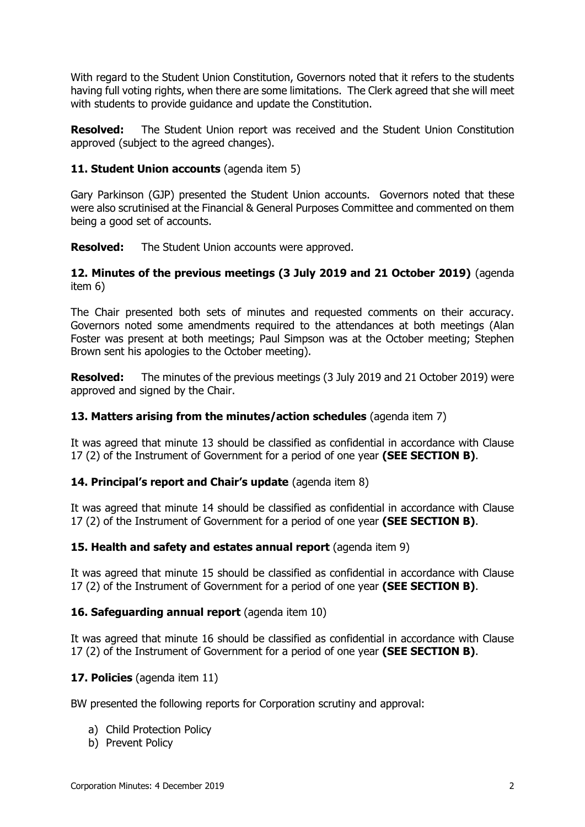With regard to the Student Union Constitution, Governors noted that it refers to the students having full voting rights, when there are some limitations. The Clerk agreed that she will meet with students to provide guidance and update the Constitution.

**Resolved:** The Student Union report was received and the Student Union Constitution approved (subject to the agreed changes).

### **11. Student Union accounts** (agenda item 5)

Gary Parkinson (GJP) presented the Student Union accounts. Governors noted that these were also scrutinised at the Financial & General Purposes Committee and commented on them being a good set of accounts.

**Resolved:** The Student Union accounts were approved.

### **12. Minutes of the previous meetings (3 July 2019 and 21 October 2019)** (agenda item 6)

The Chair presented both sets of minutes and requested comments on their accuracy. Governors noted some amendments required to the attendances at both meetings (Alan Foster was present at both meetings; Paul Simpson was at the October meeting; Stephen Brown sent his apologies to the October meeting).

**Resolved:** The minutes of the previous meetings (3 July 2019 and 21 October 2019) were approved and signed by the Chair.

### **13. Matters arising from the minutes/action schedules** (agenda item 7)

It was agreed that minute 13 should be classified as confidential in accordance with Clause 17 (2) of the Instrument of Government for a period of one year **(SEE SECTION B)**.

### **14. Principal's report and Chair's update** (agenda item 8)

It was agreed that minute 14 should be classified as confidential in accordance with Clause 17 (2) of the Instrument of Government for a period of one year **(SEE SECTION B)**.

### **15. Health and safety and estates annual report** (agenda item 9)

It was agreed that minute 15 should be classified as confidential in accordance with Clause 17 (2) of the Instrument of Government for a period of one year **(SEE SECTION B)**.

### 16. Safequarding annual report (agenda item 10)

It was agreed that minute 16 should be classified as confidential in accordance with Clause 17 (2) of the Instrument of Government for a period of one year **(SEE SECTION B)**.

### **17. Policies** (agenda item 11)

BW presented the following reports for Corporation scrutiny and approval:

- a) Child Protection Policy
- b) Prevent Policy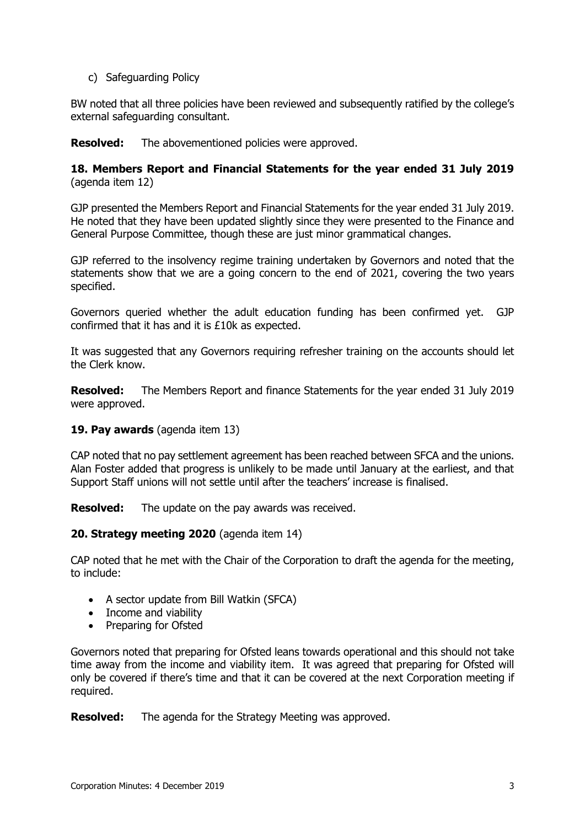c) Safeguarding Policy

BW noted that all three policies have been reviewed and subsequently ratified by the college's external safeguarding consultant.

**Resolved:** The abovementioned policies were approved.

### **18. Members Report and Financial Statements for the year ended 31 July 2019** (agenda item 12)

GJP presented the Members Report and Financial Statements for the year ended 31 July 2019. He noted that they have been updated slightly since they were presented to the Finance and General Purpose Committee, though these are just minor grammatical changes.

GJP referred to the insolvency regime training undertaken by Governors and noted that the statements show that we are a going concern to the end of 2021, covering the two years specified.

Governors queried whether the adult education funding has been confirmed yet. GJP confirmed that it has and it is £10k as expected.

It was suggested that any Governors requiring refresher training on the accounts should let the Clerk know.

**Resolved:** The Members Report and finance Statements for the year ended 31 July 2019 were approved.

### **19. Pay awards** (agenda item 13)

CAP noted that no pay settlement agreement has been reached between SFCA and the unions. Alan Foster added that progress is unlikely to be made until January at the earliest, and that Support Staff unions will not settle until after the teachers' increase is finalised.

**Resolved:** The update on the pay awards was received.

### **20. Strategy meeting 2020** (agenda item 14)

CAP noted that he met with the Chair of the Corporation to draft the agenda for the meeting, to include:

- A sector update from Bill Watkin (SFCA)
- Income and viability
- Preparing for Ofsted

Governors noted that preparing for Ofsted leans towards operational and this should not take time away from the income and viability item. It was agreed that preparing for Ofsted will only be covered if there's time and that it can be covered at the next Corporation meeting if required.

**Resolved:** The agenda for the Strategy Meeting was approved.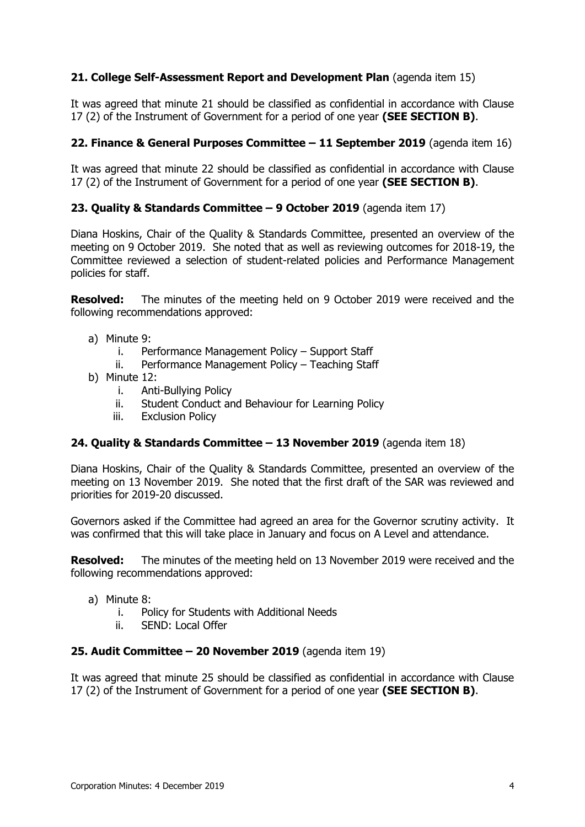## **21. College Self-Assessment Report and Development Plan** (agenda item 15)

It was agreed that minute 21 should be classified as confidential in accordance with Clause 17 (2) of the Instrument of Government for a period of one year **(SEE SECTION B)**.

### **22. Finance & General Purposes Committee – 11 September 2019** (agenda item 16)

It was agreed that minute 22 should be classified as confidential in accordance with Clause 17 (2) of the Instrument of Government for a period of one year **(SEE SECTION B)**.

### **23. Quality & Standards Committee – 9 October 2019** (agenda item 17)

Diana Hoskins, Chair of the Quality & Standards Committee, presented an overview of the meeting on 9 October 2019. She noted that as well as reviewing outcomes for 2018-19, the Committee reviewed a selection of student-related policies and Performance Management policies for staff.

**Resolved:** The minutes of the meeting held on 9 October 2019 were received and the following recommendations approved:

- a) Minute 9:
	- i. Performance Management Policy Support Staff
	- ii. Performance Management Policy Teaching Staff
- b) Minute 12:
	- i. Anti-Bullying Policy
	- ii. Student Conduct and Behaviour for Learning Policy
	- iii. Exclusion Policy

### **24. Quality & Standards Committee – 13 November 2019** (agenda item 18)

Diana Hoskins, Chair of the Quality & Standards Committee, presented an overview of the meeting on 13 November 2019. She noted that the first draft of the SAR was reviewed and priorities for 2019-20 discussed.

Governors asked if the Committee had agreed an area for the Governor scrutiny activity. It was confirmed that this will take place in January and focus on A Level and attendance.

**Resolved:** The minutes of the meeting held on 13 November 2019 were received and the following recommendations approved:

- a) Minute 8:
	- i. Policy for Students with Additional Needs
	- ii. SEND: Local Offer

### **25. Audit Committee – 20 November 2019** (agenda item 19)

It was agreed that minute 25 should be classified as confidential in accordance with Clause 17 (2) of the Instrument of Government for a period of one year **(SEE SECTION B)**.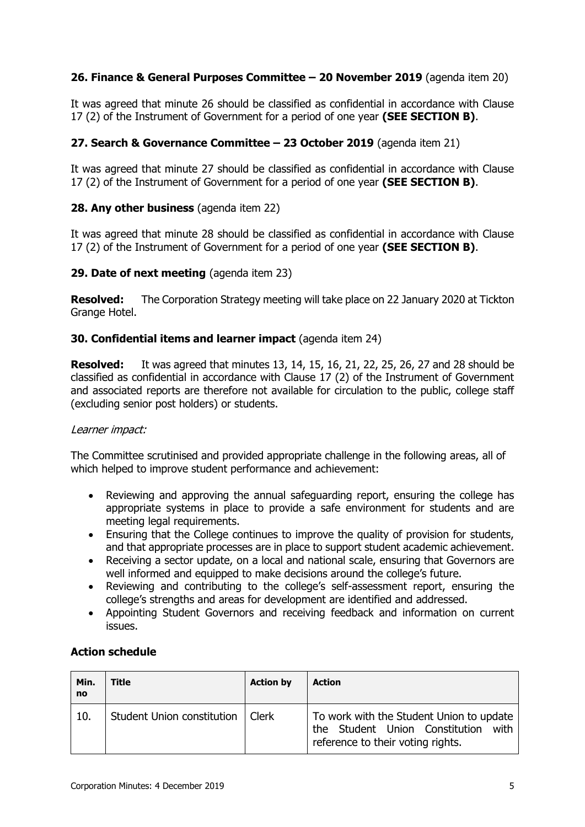## **26. Finance & General Purposes Committee – 20 November 2019** (agenda item 20)

It was agreed that minute 26 should be classified as confidential in accordance with Clause 17 (2) of the Instrument of Government for a period of one year **(SEE SECTION B)**.

## **27. Search & Governance Committee – 23 October 2019** (agenda item 21)

It was agreed that minute 27 should be classified as confidential in accordance with Clause 17 (2) of the Instrument of Government for a period of one year **(SEE SECTION B)**.

### **28. Any other business** (agenda item 22)

It was agreed that minute 28 should be classified as confidential in accordance with Clause 17 (2) of the Instrument of Government for a period of one year **(SEE SECTION B)**.

### **29. Date of next meeting** (agenda item 23)

**Resolved:** The Corporation Strategy meeting will take place on 22 January 2020 at Tickton Grange Hotel.

### **30. Confidential items and learner impact** (agenda item 24)

**Resolved:** It was agreed that minutes 13, 14, 15, 16, 21, 22, 25, 26, 27 and 28 should be classified as confidential in accordance with Clause 17 (2) of the Instrument of Government and associated reports are therefore not available for circulation to the public, college staff (excluding senior post holders) or students.

### Learner impact:

The Committee scrutinised and provided appropriate challenge in the following areas, all of which helped to improve student performance and achievement:

- Reviewing and approving the annual safeguarding report, ensuring the college has appropriate systems in place to provide a safe environment for students and are meeting legal requirements.
- Ensuring that the College continues to improve the quality of provision for students, and that appropriate processes are in place to support student academic achievement.
- Receiving a sector update, on a local and national scale, ensuring that Governors are well informed and equipped to make decisions around the college's future.
- Reviewing and contributing to the college's self-assessment report, ensuring the college's strengths and areas for development are identified and addressed.
- Appointing Student Governors and receiving feedback and information on current issues.

| Min.<br><b>no</b> | <b>Title</b>                       | <b>Action by</b> | <b>Action</b>                                                                                                           |
|-------------------|------------------------------------|------------------|-------------------------------------------------------------------------------------------------------------------------|
| 10.               | Student Union constitution   Clerk |                  | To work with the Student Union to update<br>the Student Union Constitution<br>with<br>reference to their voting rights. |

### **Action schedule**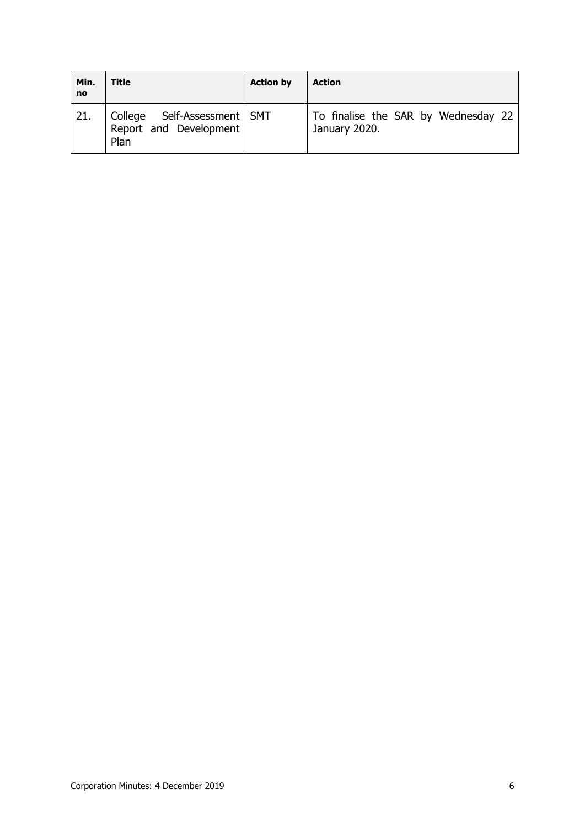| Min.<br><b>no</b> | Title                                                           | <b>Action by</b> | <b>Action</b>                                        |
|-------------------|-----------------------------------------------------------------|------------------|------------------------------------------------------|
| 21.               | College Self-Assessment   SMT<br>Report and Development<br>Plan |                  | To finalise the SAR by Wednesday 22<br>January 2020. |